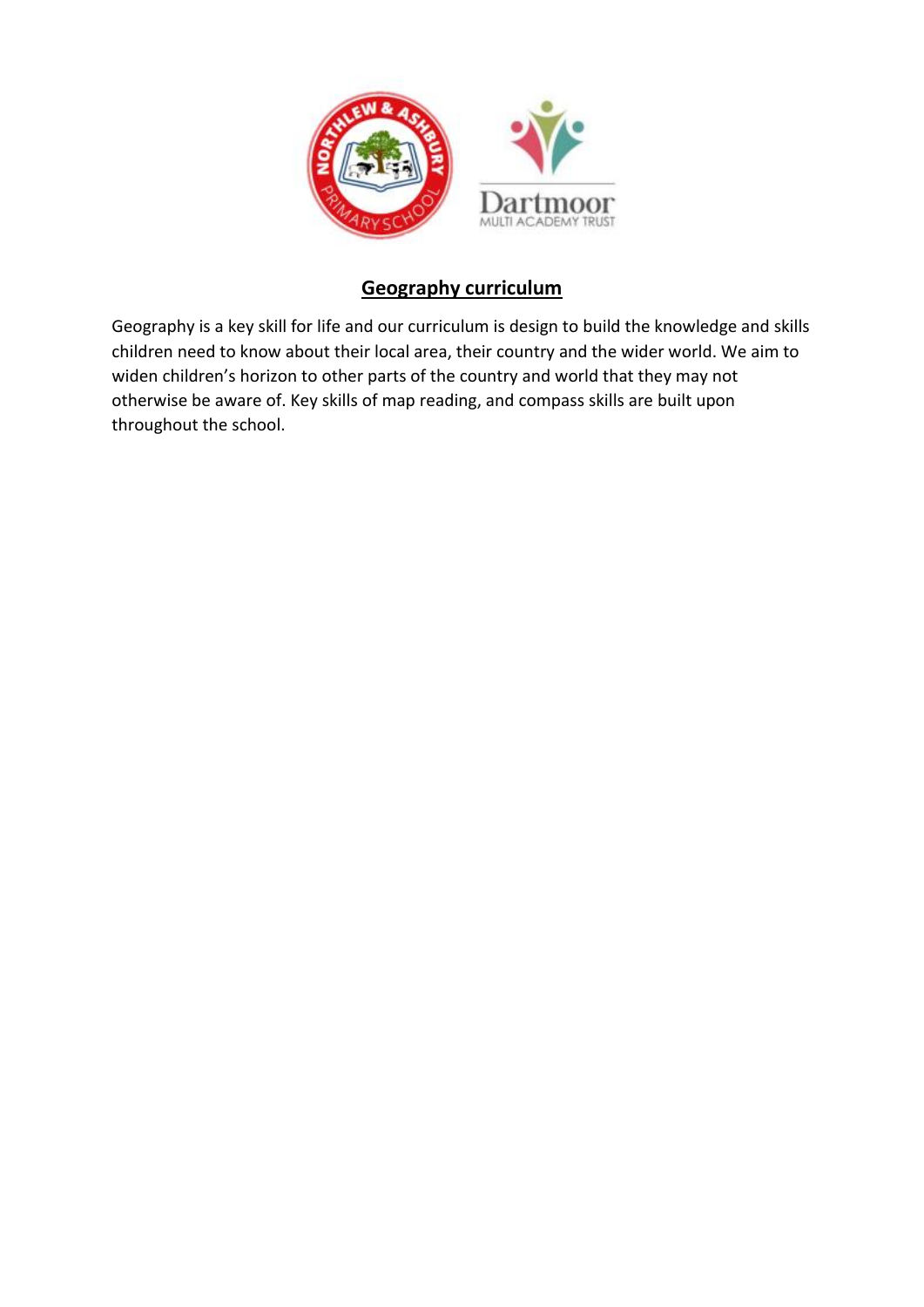

## **Geography curriculum**

Geography is a key skill for life and our curriculum is design to build the knowledge and skills children need to know about their local area, their country and the wider world. We aim to widen children's horizon to other parts of the country and world that they may not otherwise be aware of. Key skills of map reading, and compass skills are built upon throughout the school.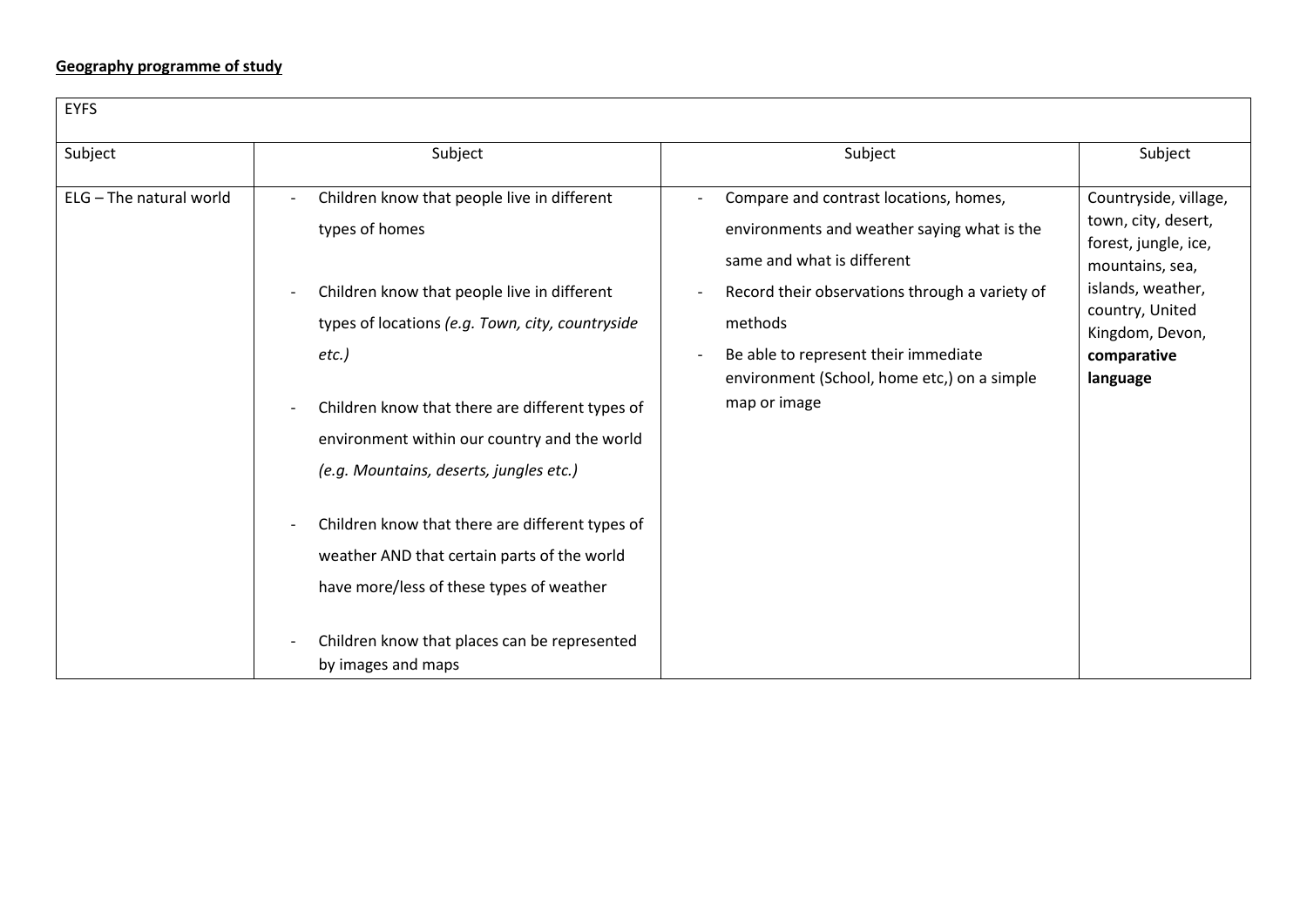## **Geography programme of study**

| <b>EYFS</b>             |                                                                                                                                                                                                                  |                                                                                                                                                                                  |                                                                                                                                 |
|-------------------------|------------------------------------------------------------------------------------------------------------------------------------------------------------------------------------------------------------------|----------------------------------------------------------------------------------------------------------------------------------------------------------------------------------|---------------------------------------------------------------------------------------------------------------------------------|
| Subject                 | Subject                                                                                                                                                                                                          | Subject                                                                                                                                                                          | Subject                                                                                                                         |
| ELG - The natural world | Children know that people live in different<br>types of homes<br>Children know that people live in different<br>types of locations (e.g. Town, city, countryside                                                 | Compare and contrast locations, homes,<br>environments and weather saying what is the<br>same and what is different<br>Record their observations through a variety of<br>methods | Countryside, village,<br>town, city, desert,<br>forest, jungle, ice,<br>mountains, sea,<br>islands, weather,<br>country, United |
|                         | $etc.$ )<br>Children know that there are different types of<br>environment within our country and the world<br>(e.g. Mountains, deserts, jungles etc.)                                                           | Be able to represent their immediate<br>environment (School, home etc,) on a simple<br>map or image                                                                              | Kingdom, Devon,<br>comparative<br>language                                                                                      |
|                         | Children know that there are different types of<br>weather AND that certain parts of the world<br>have more/less of these types of weather<br>Children know that places can be represented<br>by images and maps |                                                                                                                                                                                  |                                                                                                                                 |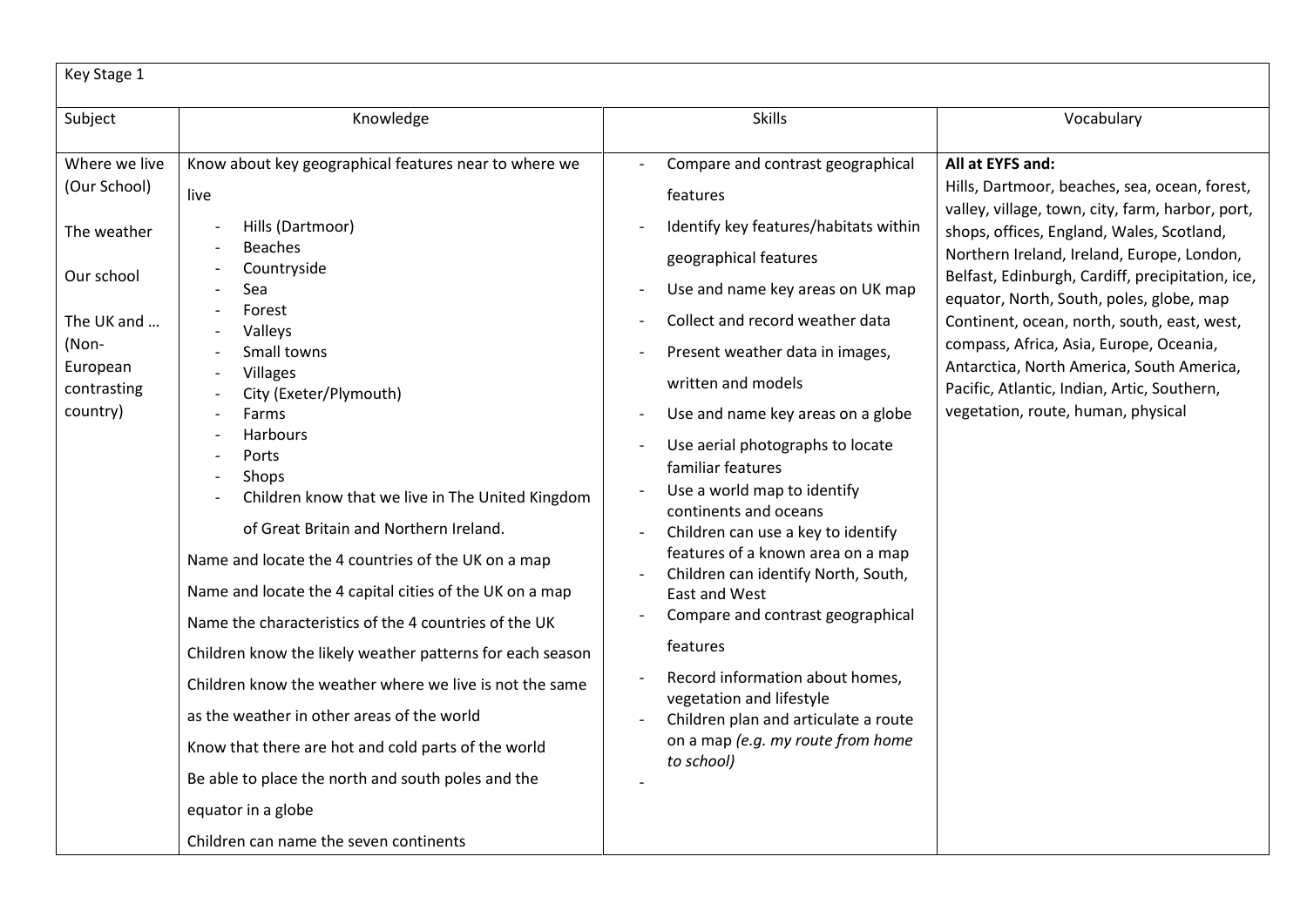| Key Stage 1                                  |                                                                                                                                                                                                                  |                                                                                                                |                                                                                                                                                                    |  |  |  |  |
|----------------------------------------------|------------------------------------------------------------------------------------------------------------------------------------------------------------------------------------------------------------------|----------------------------------------------------------------------------------------------------------------|--------------------------------------------------------------------------------------------------------------------------------------------------------------------|--|--|--|--|
| Subject                                      | Knowledge                                                                                                                                                                                                        | <b>Skills</b>                                                                                                  | Vocabulary                                                                                                                                                         |  |  |  |  |
| Where we live<br>(Our School)<br>The weather | Know about key geographical features near to where we<br>live<br>Hills (Dartmoor)                                                                                                                                | Compare and contrast geographical<br>features<br>Identify key features/habitats within                         | All at EYFS and:<br>Hills, Dartmoor, beaches, sea, ocean, forest,<br>valley, village, town, city, farm, harbor, port,<br>shops, offices, England, Wales, Scotland, |  |  |  |  |
| Our school                                   | <b>Beaches</b><br>Countryside<br>Sea                                                                                                                                                                             | geographical features<br>Use and name key areas on UK map                                                      | Northern Ireland, Ireland, Europe, London,<br>Belfast, Edinburgh, Cardiff, precipitation, ice,<br>equator, North, South, poles, globe, map                         |  |  |  |  |
| The UK and<br>(Non-<br>European              | Forest<br>Valleys<br>Small towns<br>Villages<br>City (Exeter/Plymouth)<br>Farms<br><b>Harbours</b>                                                                                                               | Collect and record weather data<br>Present weather data in images,                                             | Continent, ocean, north, south, east, west,<br>compass, Africa, Asia, Europe, Oceania,<br>Antarctica, North America, South America,                                |  |  |  |  |
| contrasting<br>country)                      |                                                                                                                                                                                                                  | written and models<br>Use and name key areas on a globe<br>Use aerial photographs to locate                    | Pacific, Atlantic, Indian, Artic, Southern,<br>vegetation, route, human, physical                                                                                  |  |  |  |  |
|                                              | Ports<br>Shops<br>Children know that we live in The United Kingdom                                                                                                                                               | familiar features<br>Use a world map to identify<br>continents and oceans                                      |                                                                                                                                                                    |  |  |  |  |
|                                              | of Great Britain and Northern Ireland.<br>Name and locate the 4 countries of the UK on a map<br>Name and locate the 4 capital cities of the UK on a map<br>Name the characteristics of the 4 countries of the UK | Children can use a key to identify<br>features of a known area on a map<br>Children can identify North, South, |                                                                                                                                                                    |  |  |  |  |
|                                              |                                                                                                                                                                                                                  | East and West<br>Compare and contrast geographical                                                             |                                                                                                                                                                    |  |  |  |  |
|                                              | Children know the likely weather patterns for each season<br>Children know the weather where we live is not the same                                                                                             | features<br>Record information about homes,                                                                    |                                                                                                                                                                    |  |  |  |  |
|                                              | as the weather in other areas of the world                                                                                                                                                                       | vegetation and lifestyle<br>Children plan and articulate a route<br>on a map (e.g. my route from home          |                                                                                                                                                                    |  |  |  |  |
|                                              | Know that there are hot and cold parts of the world<br>Be able to place the north and south poles and the                                                                                                        | to school)                                                                                                     |                                                                                                                                                                    |  |  |  |  |
|                                              | equator in a globe                                                                                                                                                                                               |                                                                                                                |                                                                                                                                                                    |  |  |  |  |
|                                              | Children can name the seven continents                                                                                                                                                                           |                                                                                                                |                                                                                                                                                                    |  |  |  |  |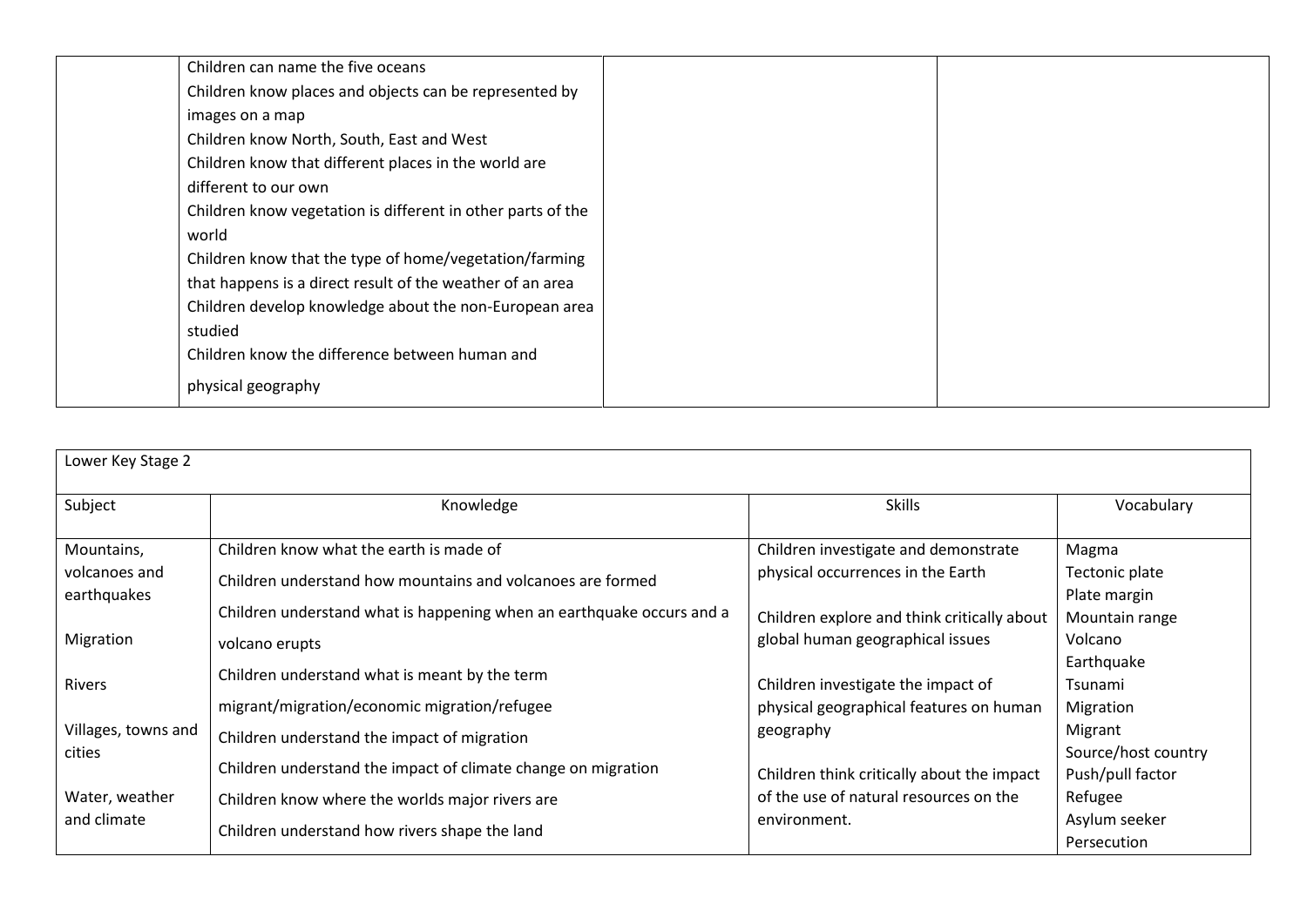| Children can name the five oceans                           |  |
|-------------------------------------------------------------|--|
| Children know places and objects can be represented by      |  |
| images on a map                                             |  |
| Children know North, South, East and West                   |  |
| Children know that different places in the world are        |  |
| different to our own                                        |  |
| Children know vegetation is different in other parts of the |  |
| world                                                       |  |
| Children know that the type of home/vegetation/farming      |  |
| that happens is a direct result of the weather of an area   |  |
| Children develop knowledge about the non-European area      |  |
| studied                                                     |  |
| Children know the difference between human and              |  |
| physical geography                                          |  |

| Lower Key Stage 2             |                                                                                                              |                                                                               |                                                    |  |  |  |  |
|-------------------------------|--------------------------------------------------------------------------------------------------------------|-------------------------------------------------------------------------------|----------------------------------------------------|--|--|--|--|
| Subject                       | Knowledge                                                                                                    | <b>Skills</b>                                                                 | Vocabulary                                         |  |  |  |  |
| Mountains,                    | Children know what the earth is made of                                                                      | Children investigate and demonstrate                                          | Magma                                              |  |  |  |  |
| volcanoes and<br>earthquakes  | Children understand how mountains and volcanoes are formed                                                   | physical occurrences in the Earth                                             | Tectonic plate<br>Plate margin                     |  |  |  |  |
|                               | Children understand what is happening when an earthquake occurs and a                                        | Children explore and think critically about                                   | Mountain range                                     |  |  |  |  |
| Migration                     | volcano erupts                                                                                               | global human geographical issues                                              | Volcano                                            |  |  |  |  |
| <b>Rivers</b>                 | Children understand what is meant by the term<br>migrant/migration/economic migration/refugee                | Children investigate the impact of<br>physical geographical features on human | Earthquake<br>Tsunami<br>Migration                 |  |  |  |  |
| Villages, towns and<br>cities | Children understand the impact of migration<br>Children understand the impact of climate change on migration | geography<br>Children think critically about the impact                       | Migrant<br>Source/host country<br>Push/pull factor |  |  |  |  |
| Water, weather<br>and climate | Children know where the worlds major rivers are<br>Children understand how rivers shape the land             | of the use of natural resources on the<br>environment.                        | Refugee<br>Asylum seeker<br>Persecution            |  |  |  |  |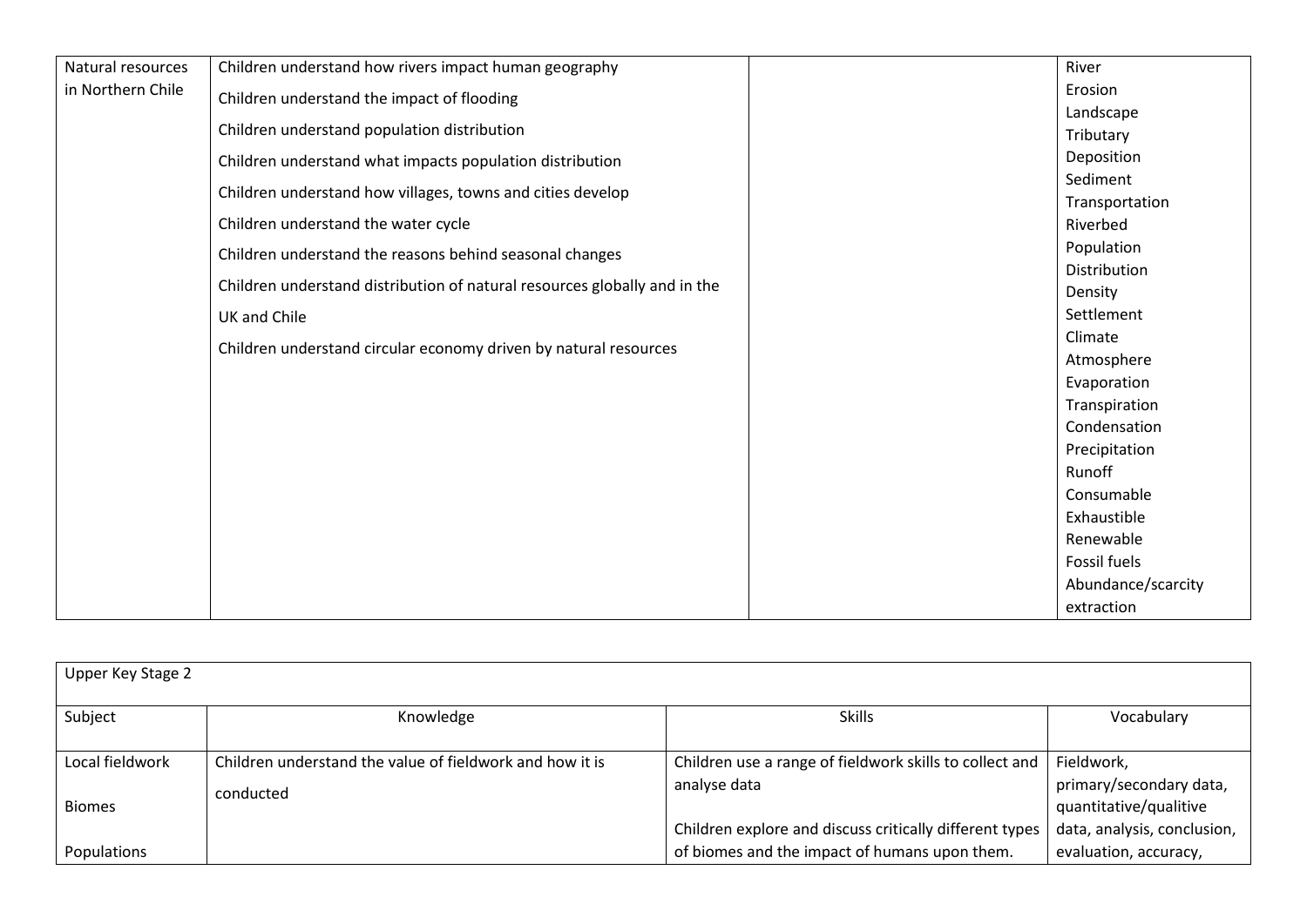| Natural resources | Children understand how rivers impact human geography                     | River              |
|-------------------|---------------------------------------------------------------------------|--------------------|
| in Northern Chile | Children understand the impact of flooding                                | Erosion            |
|                   |                                                                           | Landscape          |
|                   | Children understand population distribution                               | Tributary          |
|                   | Children understand what impacts population distribution                  | Deposition         |
|                   | Children understand how villages, towns and cities develop                | Sediment           |
|                   |                                                                           | Transportation     |
|                   | Children understand the water cycle                                       | Riverbed           |
|                   | Children understand the reasons behind seasonal changes                   | Population         |
|                   |                                                                           | Distribution       |
|                   | Children understand distribution of natural resources globally and in the | Density            |
|                   | UK and Chile                                                              | Settlement         |
|                   | Children understand circular economy driven by natural resources          | Climate            |
|                   |                                                                           | Atmosphere         |
|                   |                                                                           | Evaporation        |
|                   |                                                                           | Transpiration      |
|                   |                                                                           | Condensation       |
|                   |                                                                           | Precipitation      |
|                   |                                                                           | Runoff             |
|                   |                                                                           | Consumable         |
|                   |                                                                           | Exhaustible        |
|                   |                                                                           | Renewable          |
|                   |                                                                           | Fossil fuels       |
|                   |                                                                           | Abundance/scarcity |
|                   |                                                                           | extraction         |

| Upper Key Stage 2  |                                                          |                                                         |                             |  |  |  |  |
|--------------------|----------------------------------------------------------|---------------------------------------------------------|-----------------------------|--|--|--|--|
| Subject            | Knowledge                                                | <b>Skills</b>                                           | Vocabulary                  |  |  |  |  |
| Local fieldwork    | Children understand the value of fieldwork and how it is | Children use a range of fieldwork skills to collect and | Fieldwork,                  |  |  |  |  |
|                    | conducted                                                | analyse data                                            | primary/secondary data,     |  |  |  |  |
| <b>Biomes</b>      |                                                          |                                                         | quantitative/qualitive      |  |  |  |  |
|                    |                                                          | Children explore and discuss critically different types | data, analysis, conclusion, |  |  |  |  |
| <b>Populations</b> |                                                          | of biomes and the impact of humans upon them.           | evaluation, accuracy,       |  |  |  |  |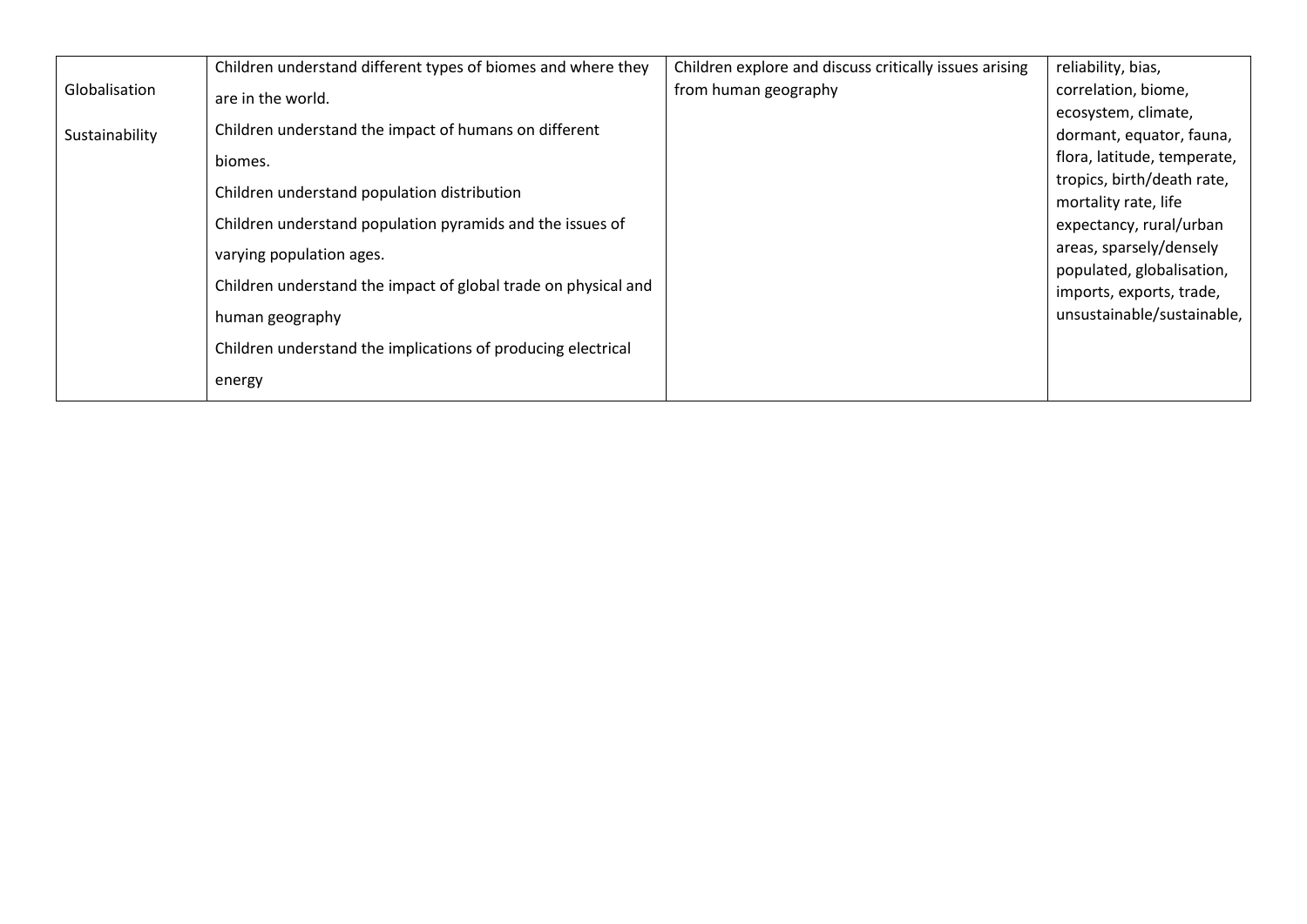|                | Children understand different types of biomes and where they   | Children explore and discuss critically issues arising | reliability, bias,          |
|----------------|----------------------------------------------------------------|--------------------------------------------------------|-----------------------------|
| Globalisation  | are in the world.                                              | from human geography                                   | correlation, biome,         |
|                |                                                                |                                                        | ecosystem, climate,         |
| Sustainability | Children understand the impact of humans on different          |                                                        | dormant, equator, fauna,    |
|                | biomes.                                                        |                                                        | flora, latitude, temperate, |
|                | Children understand population distribution                    |                                                        | tropics, birth/death rate,  |
|                |                                                                |                                                        | mortality rate, life        |
|                | Children understand population pyramids and the issues of      |                                                        | expectancy, rural/urban     |
|                | varying population ages.                                       |                                                        | areas, sparsely/densely     |
|                |                                                                |                                                        | populated, globalisation,   |
|                | Children understand the impact of global trade on physical and |                                                        | imports, exports, trade,    |
|                | human geography                                                |                                                        | unsustainable/sustainable,  |
|                | Children understand the implications of producing electrical   |                                                        |                             |
|                | energy                                                         |                                                        |                             |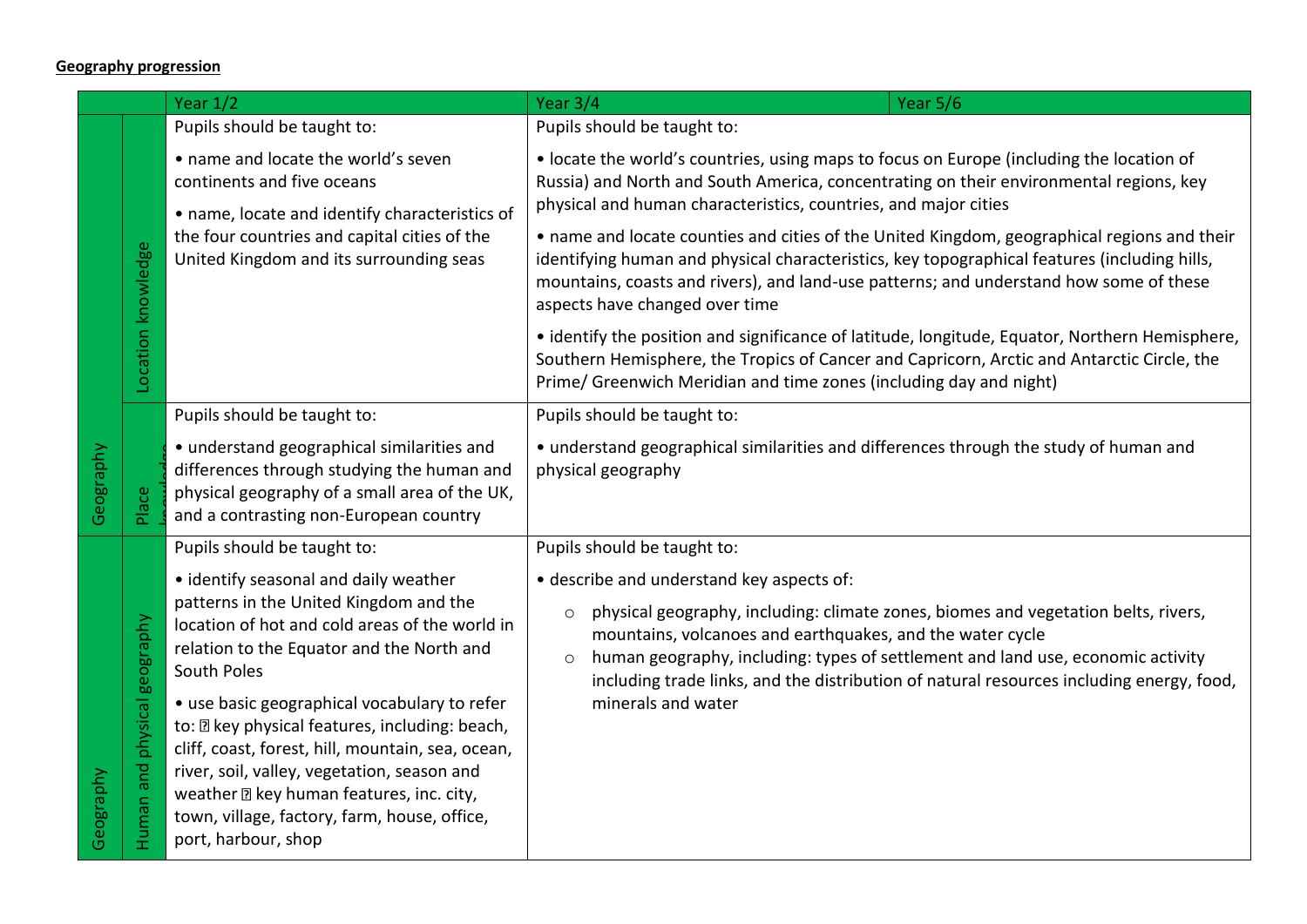## **Geography progression**

|           |                                 | Year $1/2$                                                                                                                                                                                                                                                                                                                          | Year 3/4<br>Year 5/6                                                                                                                                                                                                                                                                                                                                                                              |
|-----------|---------------------------------|-------------------------------------------------------------------------------------------------------------------------------------------------------------------------------------------------------------------------------------------------------------------------------------------------------------------------------------|---------------------------------------------------------------------------------------------------------------------------------------------------------------------------------------------------------------------------------------------------------------------------------------------------------------------------------------------------------------------------------------------------|
|           |                                 | Pupils should be taught to:                                                                                                                                                                                                                                                                                                         | Pupils should be taught to:                                                                                                                                                                                                                                                                                                                                                                       |
|           |                                 | • name and locate the world's seven<br>continents and five oceans<br>• name, locate and identify characteristics of                                                                                                                                                                                                                 | • locate the world's countries, using maps to focus on Europe (including the location of<br>Russia) and North and South America, concentrating on their environmental regions, key<br>physical and human characteristics, countries, and major cities                                                                                                                                             |
|           | Location knowledge              | the four countries and capital cities of the<br>United Kingdom and its surrounding seas                                                                                                                                                                                                                                             | • name and locate counties and cities of the United Kingdom, geographical regions and their<br>identifying human and physical characteristics, key topographical features (including hills,<br>mountains, coasts and rivers), and land-use patterns; and understand how some of these<br>aspects have changed over time                                                                           |
|           |                                 |                                                                                                                                                                                                                                                                                                                                     | • identify the position and significance of latitude, longitude, Equator, Northern Hemisphere,<br>Southern Hemisphere, the Tropics of Cancer and Capricorn, Arctic and Antarctic Circle, the<br>Prime/ Greenwich Meridian and time zones (including day and night)                                                                                                                                |
|           |                                 | Pupils should be taught to:                                                                                                                                                                                                                                                                                                         | Pupils should be taught to:                                                                                                                                                                                                                                                                                                                                                                       |
| Geography | Place                           | · understand geographical similarities and<br>differences through studying the human and<br>physical geography of a small area of the UK,<br>and a contrasting non-European country                                                                                                                                                 | • understand geographical similarities and differences through the study of human and<br>physical geography                                                                                                                                                                                                                                                                                       |
|           |                                 | Pupils should be taught to:                                                                                                                                                                                                                                                                                                         | Pupils should be taught to:                                                                                                                                                                                                                                                                                                                                                                       |
|           | physical geography<br>Human and | • identify seasonal and daily weather<br>patterns in the United Kingdom and the<br>location of hot and cold areas of the world in<br>relation to the Equator and the North and<br>South Poles                                                                                                                                       | · describe and understand key aspects of:<br>physical geography, including: climate zones, biomes and vegetation belts, rivers,<br>$\circ$<br>mountains, volcanoes and earthquakes, and the water cycle<br>human geography, including: types of settlement and land use, economic activity<br>$\circ$<br>including trade links, and the distribution of natural resources including energy, food, |
| Geography |                                 | • use basic geographical vocabulary to refer<br>to: <b>D</b> key physical features, including: beach,<br>cliff, coast, forest, hill, mountain, sea, ocean,<br>river, soil, valley, vegetation, season and<br>weather <b>D</b> key human features, inc. city,<br>town, village, factory, farm, house, office,<br>port, harbour, shop | minerals and water                                                                                                                                                                                                                                                                                                                                                                                |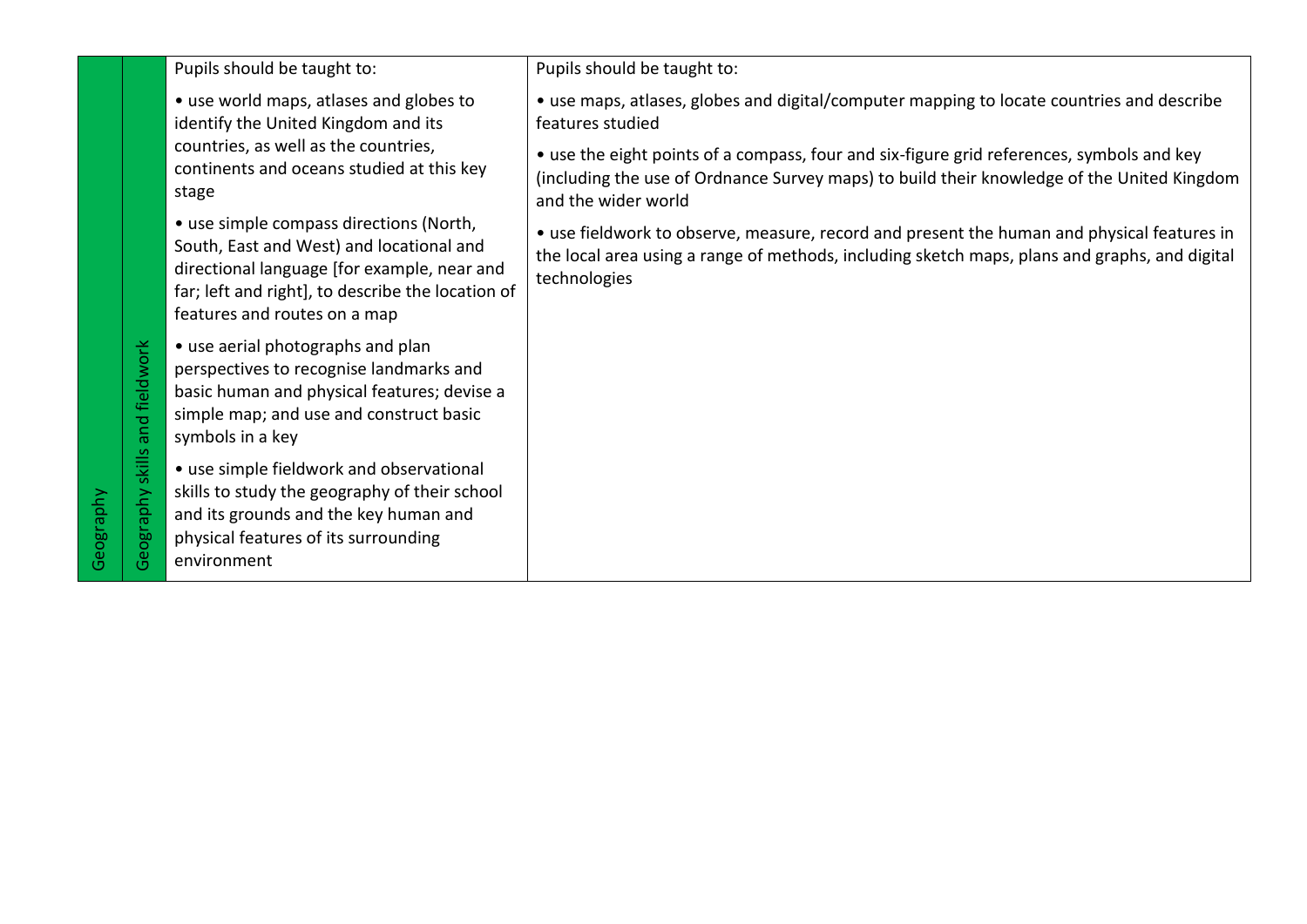|           |                           | Pupils should be taught to:                                                                                                                                                                                             | Pupils should be taught to:                                                                                                                                                                                    |
|-----------|---------------------------|-------------------------------------------------------------------------------------------------------------------------------------------------------------------------------------------------------------------------|----------------------------------------------------------------------------------------------------------------------------------------------------------------------------------------------------------------|
|           |                           | • use world maps, atlases and globes to<br>identify the United Kingdom and its                                                                                                                                          | • use maps, atlases, globes and digital/computer mapping to locate countries and describe<br>features studied                                                                                                  |
|           |                           | countries, as well as the countries,<br>continents and oceans studied at this key<br>stage                                                                                                                              | • use the eight points of a compass, four and six-figure grid references, symbols and key<br>(including the use of Ordnance Survey maps) to build their knowledge of the United Kingdom<br>and the wider world |
|           |                           | • use simple compass directions (North,<br>South, East and West) and locational and<br>directional language [for example, near and<br>far; left and right], to describe the location of<br>features and routes on a map | • use fieldwork to observe, measure, record and present the human and physical features in<br>the local area using a range of methods, including sketch maps, plans and graphs, and digital<br>technologies    |
|           | and fieldwork             | • use aerial photographs and plan<br>perspectives to recognise landmarks and<br>basic human and physical features; devise a<br>simple map; and use and construct basic<br>symbols in a key                              |                                                                                                                                                                                                                |
| Geography | skills<br>eography<br>(5) | • use simple fieldwork and observational<br>skills to study the geography of their school<br>and its grounds and the key human and<br>physical features of its surrounding<br>environment                               |                                                                                                                                                                                                                |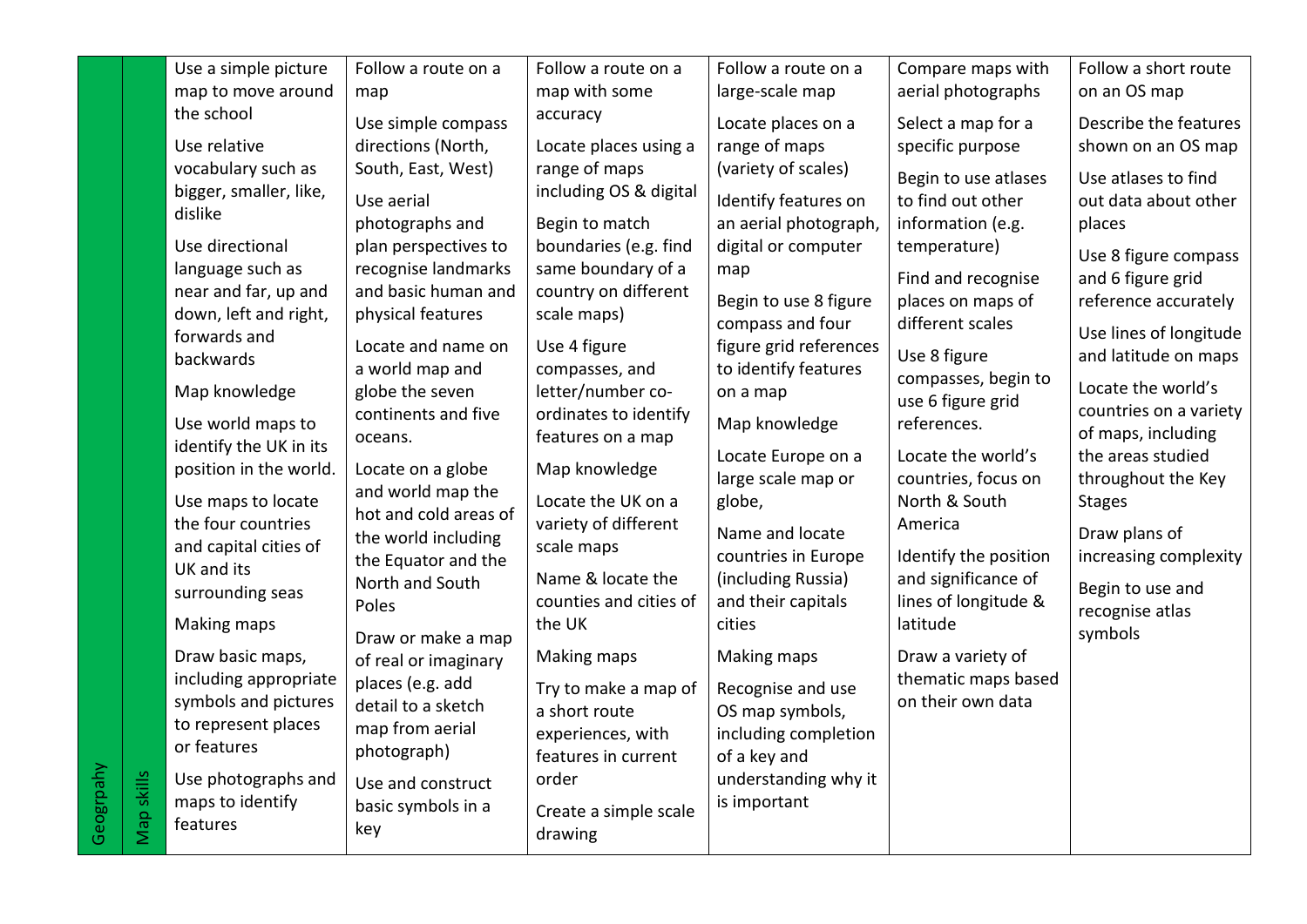|           |            | Use a simple picture                    | Follow a route on a                        | Follow a route on a    | Follow a route on a                       | Compare maps with                     | Follow a short route       |
|-----------|------------|-----------------------------------------|--------------------------------------------|------------------------|-------------------------------------------|---------------------------------------|----------------------------|
|           |            | map to move around                      | map                                        | map with some          | large-scale map                           | aerial photographs                    | on an OS map               |
|           |            | the school                              | Use simple compass                         | accuracy               | Locate places on a                        | Select a map for a                    | Describe the features      |
|           |            | Use relative                            | directions (North,                         | Locate places using a  | range of maps                             | specific purpose                      | shown on an OS map         |
|           |            | vocabulary such as                      | South, East, West)                         | range of maps          | (variety of scales)                       | Begin to use atlases                  | Use atlases to find        |
|           |            | bigger, smaller, like,                  | Use aerial                                 | including OS & digital | Identify features on                      | to find out other                     | out data about other       |
|           |            | dislike                                 | photographs and                            | Begin to match         | an aerial photograph,                     | information (e.g.                     | places                     |
|           |            | Use directional                         | plan perspectives to                       | boundaries (e.g. find  | digital or computer                       | temperature)                          |                            |
|           |            | language such as                        | recognise landmarks                        | same boundary of a     | map                                       |                                       | Use 8 figure compass       |
|           |            | near and far, up and                    | and basic human and                        | country on different   |                                           | Find and recognise                    | and 6 figure grid          |
|           |            | down, left and right,                   | physical features                          | scale maps)            | Begin to use 8 figure<br>compass and four | places on maps of<br>different scales | reference accurately       |
|           |            | forwards and                            | Locate and name on                         | Use 4 figure           | figure grid references                    |                                       | Use lines of longitude     |
|           |            | backwards                               | a world map and                            | compasses, and         | to identify features                      | Use 8 figure                          | and latitude on maps       |
|           |            | Map knowledge                           | globe the seven                            | letter/number co-      | on a map                                  | compasses, begin to                   | Locate the world's         |
|           |            |                                         | continents and five                        | ordinates to identify  |                                           | use 6 figure grid                     | countries on a variety     |
|           |            | Use world maps to                       | oceans.                                    | features on a map      | Map knowledge                             | references.                           | of maps, including         |
|           |            | identify the UK in its                  |                                            |                        | Locate Europe on a                        | Locate the world's                    | the areas studied          |
|           |            | position in the world.                  | Locate on a globe                          | Map knowledge          | large scale map or                        | countries, focus on                   | throughout the Key         |
|           |            | Use maps to locate                      | and world map the<br>hot and cold areas of | Locate the UK on a     | globe,                                    | North & South                         | <b>Stages</b>              |
|           |            | the four countries                      | the world including                        | variety of different   | Name and locate                           | America                               | Draw plans of              |
|           |            | and capital cities of                   | the Equator and the                        | scale maps             | countries in Europe                       | Identify the position                 | increasing complexity      |
|           |            | UK and its                              | North and South                            | Name & locate the      | (including Russia)                        | and significance of                   |                            |
|           |            | surrounding seas                        | Poles                                      | counties and cities of | and their capitals                        | lines of longitude &                  | Begin to use and           |
|           |            | Making maps                             |                                            | the UK                 | cities                                    | latitude                              | recognise atlas<br>symbols |
|           |            | Draw basic maps,                        | Draw or make a map                         | Making maps            | Making maps                               | Draw a variety of                     |                            |
|           |            | including appropriate                   | of real or imaginary                       |                        |                                           | thematic maps based                   |                            |
|           |            | symbols and pictures                    | places (e.g. add<br>detail to a sketch     | Try to make a map of   | Recognise and use                         | on their own data                     |                            |
|           |            | to represent places                     | map from aerial                            | a short route          | OS map symbols,                           |                                       |                            |
|           |            | or features                             | photograph)                                | experiences, with      | including completion                      |                                       |                            |
|           |            |                                         |                                            | features in current    | of a key and                              |                                       |                            |
|           |            | Use photographs and<br>maps to identify | Use and construct                          | order                  | understanding why it<br>is important      |                                       |                            |
| Geogrpahy | Map skills | features                                | basic symbols in a                         | Create a simple scale  |                                           |                                       |                            |
|           |            |                                         | key                                        | drawing                |                                           |                                       |                            |
|           |            |                                         |                                            |                        |                                           |                                       |                            |